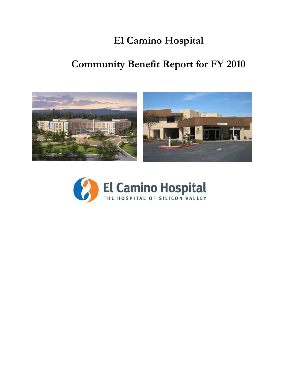## **El Camino Hospital**

# **Community Benefit Report for FY 2010**



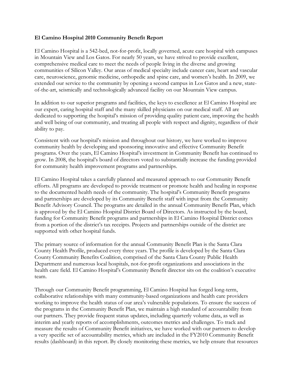#### **El Camino Hospital 2010 Community Benefit Report**

El Camino Hospital is a 542-bed, not-for-profit, locally governed, acute care hospital with campuses in Mountain View and Los Gatos. For nearly 50 years, we have strived to provide excellent, comprehensive medical care to meet the needs of people living in the diverse and growing communities of Silicon Valley. Our areas of medical specialty include cancer care, heart and vascular care, neuroscience, genomic medicine, orthopedic and spine care, and women's health. In 2009, we extended our service to the community by opening a second campus in Los Gatos and a new, stateof-the-art, seismically and technologically advanced facility on our Mountain View campus.

In addition to our superior programs and facilities, the keys to excellence at El Camino Hospital are our expert, caring hospital staff and the many skilled physicians on our medical staff. All are dedicated to supporting the hospital's mission of providing quality patient care, improving the health and well being of our community, and treating all people with respect and dignity, regardless of their ability to pay.

Consistent with our hospital's mission and throughout our history, we have worked to improve community health by developing and sponsoring innovative and effective Community Benefit programs. Over the years, El Camino Hospital's investment in Community Benefit has continued to grow. In 2008, the hospital's board of directors voted to substantially increase the funding provided for community health improvement programs and partnerships.

El Camino Hospital takes a carefully planned and measured approach to our Community Benefit efforts. All programs are developed to provide treatment or promote health and healing in response to the documented health needs of the community. The hospital's Community Benefit programs and partnerships are developed by its Community Benefit staff with input from the Community Benefit Advisory Council. The programs are detailed in the annual Community Benefit Plan, which is approved by the El Camino Hospital District Board of Directors. As instructed by the board, funding for Community Benefit programs and partnerships in El Camino Hospital District comes from a portion of the district's tax receipts. Projects and partnerships outside of the district are supported with other hospital funds.

The primary source of information for the annual Community Benefit Plan is the Santa Clara County Health Profile, produced every three years. The profile is developed by the Santa Clara County Community Benefits Coalition, comprised of the Santa Clara County Public Health Department and numerous local hospitals, not-for-profit organizations and associations in the health care field. El Camino Hospital's Community Benefit director sits on the coalition's executive team.

Through our Community Benefit programming, El Camino Hospital has forged long-term, collaborative relationships with many community-based organizations and health care providers working to improve the health status of our area's vulnerable populations. To ensure the success of the programs in the Community Benefit Plan, we maintain a high standard of accountability from our partners. They provide frequent status updates, including quarterly volume data, as well as interim and yearly reports of accomplishments, outcomes metrics and challenges. To track and measure the results of Community Benefit initiatives, we have worked with our partners to develop a very specific set of accountability metrics, which are included in the FY2010 Community Benefit results (dashboard) in this report. By closely monitoring these metrics, we help ensure that resources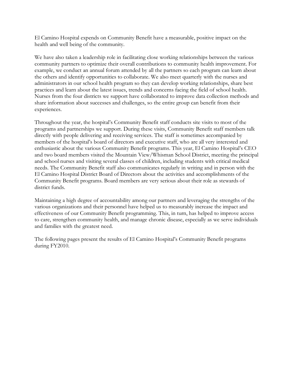El Camino Hospital expends on Community Benefit have a measurable, positive impact on the health and well being of the community.

We have also taken a leadership role in facilitating close working relationships between the various community partners to optimize their overall contributions to community health improvement. For example, we conduct an annual forum attended by all the partners so each program can learn about the others and identify opportunities to collaborate. We also meet quarterly with the nurses and administrators in our school health program so they can develop working relationships, share best practices and learn about the latest issues, trends and concerns facing the field of school health. Nurses from the four districts we support have collaborated to improve data collection methods and share information about successes and challenges, so the entire group can benefit from their experiences.

Throughout the year, the hospital's Community Benefit staff conducts site visits to most of the programs and partnerships we support. During these visits, Community Benefit staff members talk directly with people delivering and receiving services. The staff is sometimes accompanied by members of the hospital's board of directors and executive staff, who are all very interested and enthusiastic about the various Community Benefit programs. This year, El Camino Hospital's CEO and two board members visited the Mountain View/Whisman School District, meeting the principal and school nurses and visiting several classes of children, including students with critical medical needs. The Community Benefit staff also communicates regularly in writing and in person with the El Camino Hospital District Board of Directors about the activities and accomplishments of the Community Benefit programs. Board members are very serious about their role as stewards of district funds.

Maintaining a high degree of accountability among our partners and leveraging the strengths of the various organizations and their personnel have helped us to measurably increase the impact and effectiveness of our Community Benefit programming. This, in turn, has helped to improve access to care, strengthen community health, and manage chronic disease, especially as we serve individuals and families with the greatest need.

The following pages present the results of El Camino Hospital's Community Benefit programs during FY2010.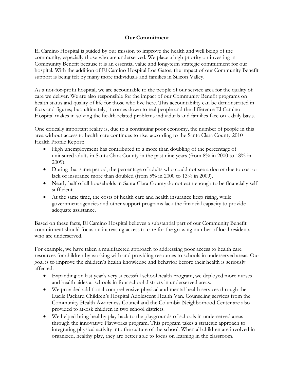#### **Our Commitment**

El Camino Hospital is guided by our mission to improve the health and well being of the community, especially those who are underserved. We place a high priority on investing in Community Benefit because it is an essential value and long-term strategic commitment for our hospital. With the addition of El Camino Hospital Los Gatos, the impact of our Community Benefit support is being felt by many more individuals and families in Silicon Valley.

As a not-for-profit hospital, we are accountable to the people of our service area for the quality of care we deliver. We are also responsible for the impact of our Community Benefit programs on health status and quality of life for those who live here. This accountability can be demonstrated in facts and figures; but, ultimately, it comes down to real people and the difference El Camino Hospital makes in solving the health-related problems individuals and families face on a daily basis.

One critically important reality is, due to a continuing poor economy, the number of people in this area without access to health care continues to rise, according to the Santa Clara County 2010 Health Profile Report:

- High unemployment has contributed to a more than doubling of the percentage of uninsured adults in Santa Clara County in the past nine years (from 8% in 2000 to 18% in 2009).
- During that same period, the percentage of adults who could not see a doctor due to cost or lack of insurance more than doubled (from 5% in 2000 to 13% in 2009).
- Nearly half of all households in Santa Clara County do not earn enough to be financially selfsufficient.
- At the same time, the costs of health care and health insurance keep rising, while government agencies and other support programs lack the financial capacity to provide adequate assistance.

Based on these facts, El Camino Hospital believes a substantial part of our Community Benefit commitment should focus on increasing access to care for the growing number of local residents who are underserved.

For example, we have taken a multifaceted approach to addressing poor access to health care resources for children by working with and providing resources to schools in underserved areas. Our goal is to improve the children's health knowledge and behavior before their health is seriously affected:

- Expanding on last year's very successful school health program, we deployed more nurses and health aides at schools in four school districts in underserved areas.
- We provided additional comprehensive physical and mental health services through the Lucile Packard Children's Hospital Adolescent Health Van. Counseling services from the Community Health Awareness Council and the Columbia Neighborhood Center are also provided to at-risk children in two school districts.
- We helped bring healthy play back to the playgrounds of schools in underserved areas through the innovative Playworks program. This program takes a strategic approach to integrating physical activity into the culture of the school. When all children are involved in organized, healthy play, they are better able to focus on learning in the classroom.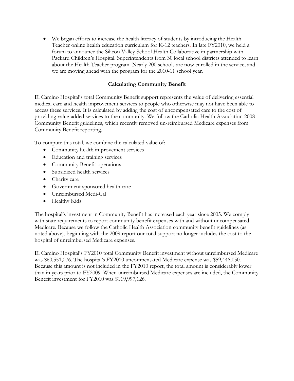• We began efforts to increase the health literacy of students by introducing the Health Teacher online health education curriculum for K-12 teachers. In late FY2010, we held a forum to announce the Silicon Valley School Health Collaborative in partnership with Packard Children's Hospital. Superintendents from 30 local school districts attended to learn about the Health Teacher program. Nearly 200 schools are now enrolled in the service, and we are moving ahead with the program for the 2010-11 school year.

#### **Calculating Community Benefit**

El Camino Hospital's total Community Benefit support represents the value of delivering essential medical care and health improvement services to people who otherwise may not have been able to access these services. It is calculated by adding the cost of uncompensated care to the cost of providing value-added services to the community. We follow the Catholic Health Association 2008 Community Benefit guidelines, which recently removed un-reimbursed Medicare expenses from Community Benefit reporting.

To compute this total, we combine the calculated value of:

- Community health improvement services
- Education and training services
- Community Benefit operations
- Subsidized health services
- Charity care
- Government sponsored health care
- Unreimbursed Medi-Cal
- Healthy Kids

The hospital's investment in Community Benefit has increased each year since 2005. We comply with state requirements to report community benefit expenses with and without uncompensated Medicare. Because we follow the Catholic Health Association community benefit guidelines (as noted above), beginning with the 2009 report our total support no longer includes the cost to the hospital of unreimbursed Medicare expenses.

El Camino Hospital's FY2010 total Community Benefit investment without unreimbursed Medicare was \$60,551,076. The hospital's FY2010 uncompensated Medicare expense was \$59,446,050. Because this amount is not included in the FY2010 report, the total amount is considerably lower than in years prior to FY2009. When unreimbursed Medicare expenses are included, the Community Benefit investment for FY2010 was \$119,997,126.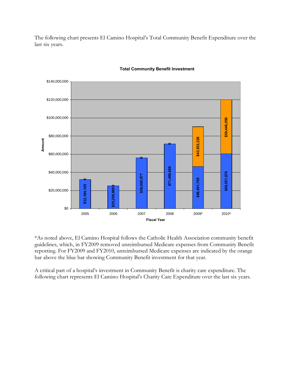The following chart presents El Camino Hospital's Total Community Benefit Expenditure over the last six years.



#### **Total Community Benefit Investment**

\*As noted above, El Camino Hospital follows the Catholic Health Association community benefit guidelines, which, in FY2009 removed unreimbursed Medicare expenses from Community Benefit reporting. For FY2009 and FY2010, unreimbursed Medicare expenses are indicated by the orange bar above the blue bar showing Community Benefit investment for that year.

A critical part of a hospital's investment in Community Benefit is charity care expenditure. The following chart represents El Camino Hospital's Charity Care Expenditure over the last six years.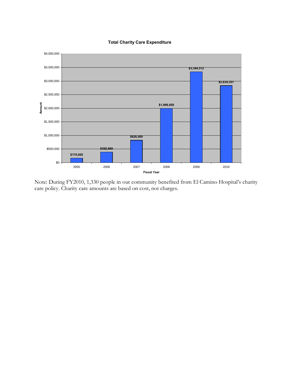



Note: During FY2010, 1,330 people in our community benefited from El Camino Hospital's charity care policy. Charity care amounts are based on cost, not charges.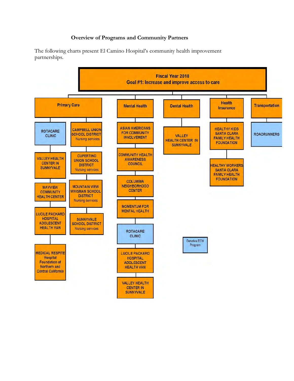#### **Overview of Programs and Community Partners**

The following charts present El Camino Hospital's community health improvement partnerships.

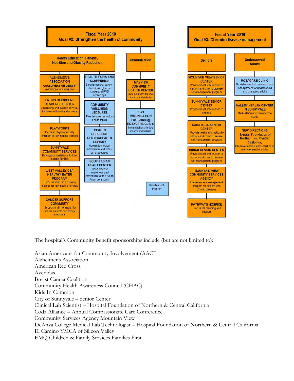

The hospital's Community Benefit sponsorships include (but are not limited to):

Asian Americans for Community Involvement (AACI) Alzheimer's Association American Red Cross Avenidas Breast Cancer Coalition Community Health Awareness Council (CHAC) Kids In Common City of Sunnyvale – Senior Center Clinical Lab Scientist – Hospital Foundation of Northern & Central California Coda Alliance – Annual Compassionate Care Conference Community Services Agency Mountain View DeAnza College Medical Lab Technologist – Hospital Foundation of Northern & Central California El Camino YMCA of Silicon Valley EMQ Children & Family Services Families First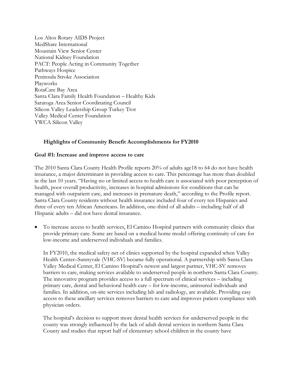Los Altos Rotary AIDS Project MedShare International Mountain View Senior Center National Kidney Foundation PACT: People Acting in Community Together Pathways Hospice Peninsula Stroke Association Playworks RotaCare Bay Area Santa Clara Family Health Foundation – Healthy Kids Saratoga Area Senior Coordinating Council Silicon Valley Leadership Group Turkey Trot Valley Medical Center Foundation YWCA Silicon Valley

#### **Highlights of Community Benefit Accomplishments for FY2010**

#### **Goal #1: Increase and improve access to care**

The 2010 Santa Clara County Health Profile reports 20% of adults age18 to 64 do not have health insurance, a major determinant in providing access to care. This percentage has more than doubled in the last 10 years. "Having no or limited access to health care is associated with poor perception of health, poor overall productivity, increases in hospital admissions for conditions that can be managed with outpatient care, and increases in premature death," according to the Profile report. Santa Clara County residents without health insurance included four of every ten Hispanics and three of every ten African Americans. In addition, one-third of all adults – including half of all Hispanic adults – did not have dental insurance.

• To increase access to health services, El Camino Hospital partners with community clinics that provide primary care. Some are based on a medical home model offering continuity of care for low-income and underserved individuals and families.

In FY2010, the medical safety net of clinics supported by the hospital expanded when Valley Health Center–Sunnyvale (VHC-SV) became fully operational. A partnership with Santa Clara Valley Medical Center, El Camino Hospital's newest and largest partner, VHC-SV removes barriers to care, making services available to underserved people in northern Santa Clara County. The innovative program provides access to a full spectrum of clinical services – including primary care, dental and behavioral health care – for low-income, uninsured individuals and families. In addition, on-site services including lab and radiology, are available. Providing easy access to these ancillary services removes barriers to care and improves patient compliance with physician orders.

The hospital's decision to support more dental health services for underserved people in the county was strongly influenced by the lack of adult dental services in northern Santa Clara County and studies that report half of elementary school children in the county have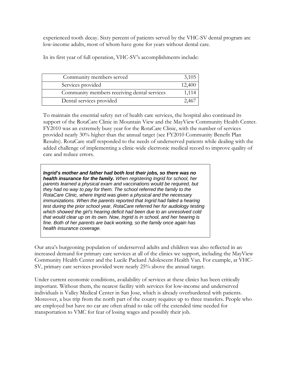experienced tooth decay. Sixty percent of patients served by the VHC-SV dental program are low-income adults, most of whom have gone for years without dental care.

In its first year of full operation, VHC-SV's accomplishments include:

| Community members served                    | 3,105  |
|---------------------------------------------|--------|
| Services provided                           | 12,400 |
| Community members receiving dental services | 1.114  |
| Dental services provided                    |        |

To maintain the essential safety net of health care services, the hospital also continued its support of the RotaCare Clinic in Mountain View and the MayView Community Health Center. FY2010 was an extremely busy year for the RotaCare Clinic, with the number of services provided nearly 30% higher than the annual target (see FY2010 Community Benefit Plan Results). RotaCare staff responded to the needs of underserved patients while dealing with the added challenge of implementing a clinic-wide electronic medical record to improve quality of care and reduce errors.

*Ingrid's mother and father had both lost their jobs, so there was no health insurance for the family. When registering Ingrid for school, her parents learned a physical exam and vaccinations would be required, but they had no way to pay for them. The school referred the family to the RotaCare Clinic, where Ingrid was given a physical and the necessary*  immunizations. When the parents reported that Ingrid had failed a hearing *test during the prior school year, RotaCare referred her for audiology testing which showed the girl's hearing deficit had been due to an unresolved cold that would clear up on its own. Now, Ingrid is in school, and her hearing is fine. Both of her parents are back working, so the family once again has health insurance coverage.* 

Our area's burgeoning population of underserved adults and children was also reflected in an increased demand for primary care services at all of the clinics we support, including the MayView Community Health Center and the Lucile Packard Adolescent Health Van. For example, at VHC-SV, primary care services provided were nearly 25% above the annual target.

Under current economic conditions, availability of services at these clinics has been critically important. Without them, the nearest facility with services for low-income and underserved individuals is Valley Medical Center in San Jose, which is already overburdened with patients. Moreover, a bus trip from the north part of the county requires up to three transfers. People who are employed but have no car are often afraid to take off the extended time needed for transportation to VMC for fear of losing wages and possibly their job.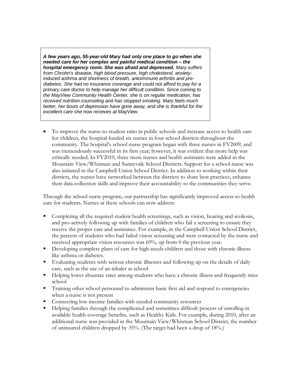*A few years ago, 55-year-old Mary had only one place to go when she needed care for her complex and painful medical condition – the hospital emergency room. She was afraid and depressed. Mary suffers from Chrohn's disease, high blood pressure, high cholesterol, anxietyinduced asthma and shortness of breath, antoimmune arthritis and prediabetes. She had no insurance coverage and could not afford to pay for a primary care doctor to help manage her difficult condition. Since coming to the MayView Community Health Center, she is on regular medication, has received nutrition counseling and has stopped smoking. Mary feels much better, her bouts of depression have gone away, and she is thankful for the excellent care she now receives at MayView.* 

• To improve the nurse-to-student ratio in public schools and increase access to health care for children, the hospital funded six nurses in four school districts throughout the community. The hospital's school nurse program began with three nurses in FY2009, and was tremendously successful in its first year; however, it was evident that more help was critically needed. In FY2010, three more nurses and health assistants were added in the Mountain View/Whisman and Sunnyvale School Districts. Support for a school nurse was also initiated in the Campbell Union School District. In addition to working within their districts, the nurses have networked between the districts to share best practices, enhance their data collection skills and improve their accountability to the communities they serve.

Through the school nurse program, our partnership has significantly improved access to health care for students. Nurses at these schools can now address:

- Completing all the required student health screenings, such as vision, hearing and scoliosis, and pro-actively following up with families of children who fail a screening to ensure they receive the proper care and assistance. For example, in the Campbell Union School District, the percent of students who had failed vision screening and were contacted by the nurse and received appropriate vision resources was 69%, up from 0 the previous year.
- Developing complete plans of care for high-needs children and those with chronic illness like asthma or diabetes.
- Evaluating students with serious chronic illnesses and following up on the details of daily care, such as the use of an inhaler at school
- Helping lower absentee rates among students who have a chronic illness and frequently miss school
- Training other school personnel to administer basic first aid and respond to emergencies when a nurse is not present
- **Connecting low income families with needed community resources**
- Helping families through the complicated and sometimes difficult process of enrolling in available health coverage benefits, such as Healthy Kids. For example, during 2010, after an additional nurse was provided in the Mountain View/Whisman School District, the number of uninsured children dropped by 35%. (The target had been a drop of 18%.)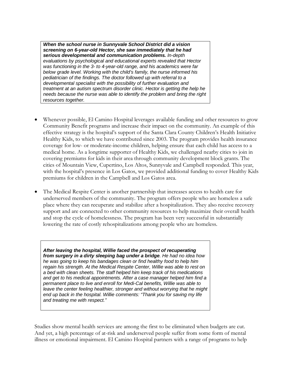*When the school nurse in Sunnyvale School District did a vision screening on 6-year-old Hector, she saw immediately that he had serious developmental and communication problems. In-depth evaluations by psychological and educational experts revealed that Hector was functioning in the 3- to 4-year-old range, and his academics were far below grade level. Working with the child's family, the nurse informed his pediatrician of the findings. The doctor followed up with referral to a developmental specialist with the possibility of further evaluation and treatment at an autism spectrum disorder clinic. Hector is getting the help he needs because the nurse was able to identify the problem and bring the right resources together.*

- Whenever possible, El Camino Hospital leverages available funding and other resources to grow Community Benefit programs and increase their impact on the community. An example of this effective strategy is the hospital's support of the Santa Clara County Children's Health Initiative Healthy Kids, to which we have contributed since 2003. The program provides health insurance coverage for low- or moderate-income children, helping ensure that each child has access to a medical home. As a longtime supporter of Healthy Kids, we challenged nearby cities to join in covering premiums for kids in their area through community development block grants. The cities of Mountain View, Cupertino, Los Altos, Sunnyvale and Campbell responded. This year, with the hospital's presence in Los Gatos, we provided additional funding to cover Healthy Kids premiums for children in the Campbell and Los Gatos area.
- The Medical Respite Center is another partnership that increases access to health care for underserved members of the community. The program offers people who are homeless a safe place where they can recuperate and stabilize after a hospitalization. They also receive recovery support and are connected to other community resources to help maximize their overall health and stop the cycle of homelessness. The program has been very successful in substantially lowering the rate of costly rehospitalizations among people who are homeless.

*After leaving the hospital, Willie faced the prospect of recuperating from surgery in a dirty sleeping bag under a bridge. He had no idea how he was going to keep his bandages clean or find healthy food to help him regain his strength. At the Medical Respite Center, Willie was able to rest on a bed with clean sheets. The staff helped him keep track of his medications and get to his medical appointments. After a case manager helped him find a permanent place to live and enroll for Medi-Cal benefits, Willie was able to leave the center feeling healthier, stronger and without worrying that he might end up back in the hospital. Willie comments: "Thank you for saving my life and treating me with respect."* 

Studies show mental health services are among the first to be eliminated when budgets are cut. And yet, a high percentage of at-risk and underserved people suffer from some form of mental illness or emotional impairment. El Camino Hospital partners with a range of programs to help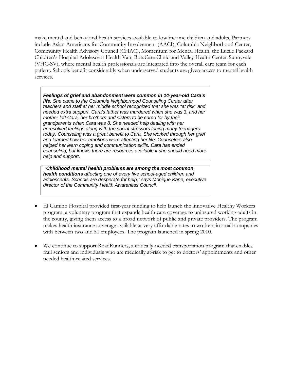make mental and behavioral health services available to low-income children and adults. Partners include Asian Americans for Community Involvement (AACI), Columbia Neighborhood Center, Community Health Advisory Council (CHAC), Momentum for Mental Health, the Lucile Packard Children's Hospital Adolescent Health Van, RotaCare Clinic and Valley Health Center-Sunnyvale (VHC-SV), where mental health professionals are integrated into the overall care team for each patient. Schools benefit considerably when underserved students are given access to mental health services.

*Feelings of grief and abandonment were common in 14-year-old Cara's life. She came to the Columbia Neighborhood Counseling Center after teachers and staff at her middle school recognized that she was "at risk" and needed extra support. Cara's father was murdered when she was 3, and her mother left Cara, her brothers and sisters to be cared for by their grandparents when Cara was 8. She needed help dealing with her unresolved feelings along with the social stressors facing many teenagers today. Counseling was a great benefit to Cara. She worked through her grief and learned how her emotions were affecting her life. Counselors also helped her learn coping and communication skills. Cara has ended counseling, but knows there are resources available if she should need more help and support.*

 *"Childhood mental health problems are among the most common health conditions affecting one of every five school-aged children and adolescents. Schools are desperate for help," says Monique Kane, executive director of the Community Health Awareness Council.*

- El Camino Hospital provided first-year funding to help launch the innovative Healthy Workers program, a voluntary program that expands health care coverage to uninsured working adults in the county, giving them access to a broad network of public and private providers. The program makes health insurance coverage available at very affordable rates to workers in small companies with between two and 50 employees. The program launched in spring 2010.
- We continue to support RoadRunners, a critically-needed transportation program that enables frail seniors and individuals who are medically at-risk to get to doctors' appointments and other needed health-related services.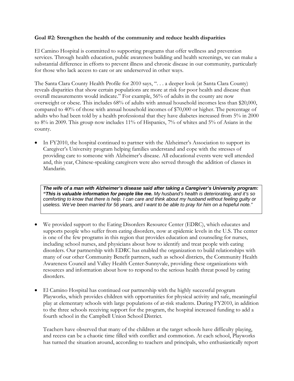#### **Goal #2: Strengthen the health of the community and reduce health disparities**

El Camino Hospital is committed to supporting programs that offer wellness and prevention services. Through health education, public awareness building and health screenings, we can make a substantial difference in efforts to prevent illness and chronic disease in our community, particularly for those who lack access to care or are underserved in other ways.

The Santa Clara County Health Profile for 2010 says, ". . . a deeper look (at Santa Clara County) reveals disparities that show certain populations are more at risk for poor health and disease than overall measurements would indicate." For example, 56% of adults in the county are now overweight or obese. This includes 68% of adults with annual household incomes less than \$20,000, compared to 40% of those with annual household incomes of \$70,000 or higher. The percentage of adults who had been told by a health professional that they have diabetes increased from 5% in 2000 to 8% in 2009. This group now includes 11% of Hispanics, 7% of whites and 5% of Asians in the county.

In FY2010, the hospital continued to partner with the Alzheimer's Association to support its Caregiver's University program helping families understand and cope with the stresses of providing care to someone with Alzheimer's disease. All educational events were well attended and, this year, Chinese-speaking caregivers were also served through the addition of classes in Mandarin.

*The wife of a man with Alzheimer's disease said after taking a Caregiver's University program: "This is valuable information for people like me. My husband's health is deteriorating, and it's so comforting to know that there is help. I can care and think about my husband without feeling guilty or useless. We've been married for 56 years, and I want to be able to pray for him on a hopeful note."*

- We provided support to the Eating Disorders Resource Center (EDRC), which educates and supports people who suffer from eating disorders, now at epidemic levels in the U.S. The center is one of the few programs in this region that provides education and counseling for nurses, including school nurses, and physicians about how to identify and treat people with eating disorders. Our partnership with EDRC has enabled the organization to build relationships with many of our other Community Benefit partners, such as school districts, the Community Health Awareness Council and Valley Health Center-Sunnyvale, providing these organizations with resources and information about how to respond to the serious health threat posed by eating disorders.
- El Camino Hospital has continued our partnership with the highly successful program Playworks, which provides children with opportunities for physical activity and safe, meaningful play at elementary schools with large populations of at-risk students. During FY2010, in addition to the three schools receiving support for the program, the hospital increased funding to add a fourth school in the Campbell Union School District.

Teachers have observed that many of the children at the target schools have difficulty playing, and recess can be a chaotic time filled with conflict and commotion. At each school, Playworks has turned the situation around, according to teachers and principals, who enthusiastically report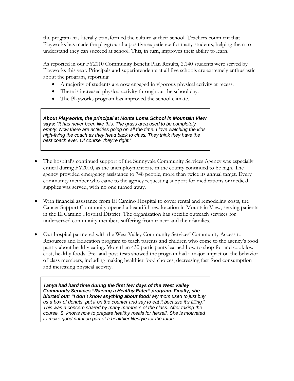the program has literally transformed the culture at their school. Teachers comment that Playworks has made the playground a positive experience for many students, helping them to understand they can succeed at school. This, in turn, improves their ability to learn.

As reported in our FY2010 Community Benefit Plan Results, 2,140 students were served by Playworks this year. Principals and superintendents at all five schools are extremely enthusiastic about the program, reporting:

- A majority of students are now engaged in vigorous physical activity at recess.
- There is increased physical activity throughout the school day.
- The Playworks program has improved the school climate.

*About Playworks, the principal at Monta Loma School in Mountain View says: "It has never been like this. The grass area used to be completely empty. Now there are activities going on all the time. I love watching the kids high-fiving the coach as they head back to class. They think they have the best coach ever. Of course, they're right."* 

- The hospital's continued support of the Sunnyvale Community Services Agency was especially critical during FY2010, as the unemployment rate in the county continued to be high. The agency provided emergency assistance to 748 people, more than twice its annual target. Every community member who came to the agency requesting support for medications or medical supplies was served, with no one turned away.
- With financial assistance from El Camino Hospital to cover rental and remodeling costs, the Cancer Support Community opened a beautiful new location in Mountain View, serving patients in the El Camino Hospital District. The organization has specific outreach services for underserved community members suffering from cancer and their families.
- Our hospital partnered with the West Valley Community Services' Community Access to Resources and Education program to teach parents and children who come to the agency's food pantry about healthy eating. More than 430 participants learned how to shop for and cook low cost, healthy foods. Pre- and post-tests showed the program had a major impact on the behavior of class members, including making healthier food choices, decreasing fast food consumption and increasing physical activity.

*Tanya had hard time during the first few days of the West Valley Community Services "Raising a Healthy Eater" program. Finally, she blurted out: "I don't know anything about food! My mom used to just buy us a box of donuts, put it on the counter and say to eat it because it's filling." This was a concern shared by many members of the class. After taking the course, S. knows how to prepare healthy meals for herself. She is motivated to make good nutrition part of a healthier lifestyle for the future.*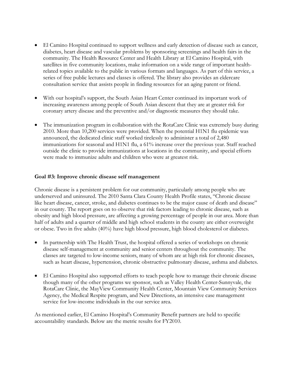- El Camino Hospital continued to support wellness and early detection of disease such as cancer, diabetes, heart disease and vascular problems by sponsoring screenings and health fairs in the community. The Health Resource Center and Health Library at El Camino Hospital, with satellites in five community locations, make information on a wide range of important healthrelated topics available to the public in various formats and languages. As part of this service, a series of free public lectures and classes is offered. The library also provides an eldercare consultation service that assists people in finding resources for an aging parent or friend.
- With our hospital's support, the South Asian Heart Center continued its important work of increasing awareness among people of South Asian descent that they are at greater risk for coronary artery disease and the preventive and/or diagnostic measures they should take.
- The immunization program in collaboration with the RotaCare Clinic was extremely busy during 2010. More than 10,200 services were provided. When the potential H1N1 flu epidemic was announced, the dedicated clinic staff worked tirelessly to administer a total of 2,480 immunizations for seasonal and H1N1 flu, a 61% increase over the previous year. Staff reached outside the clinic to provide immunizations at locations in the community, and special efforts were made to immunize adults and children who were at greatest risk.

#### **Goal #3: Improve chronic disease self management**

Chronic disease is a persistent problem for our community, particularly among people who are underserved and uninsured. The 2010 Santa Clara County Health Profile states, "Chronic disease like heart disease, cancer, stroke, and diabetes continues to be the major cause of death and disease" in our county. The report goes on to observe that risk factors leading to chronic disease, such as obesity and high blood pressure, are affecting a growing percentage of people in our area. More than half of adults and a quarter of middle and high school students in the county are either overweight or obese. Two in five adults (40%) have high blood pressure, high blood cholesterol or diabetes.

- In partnership with The Health Trust, the hospital offered a series of workshops on chronic disease self-management at community and senior centers throughout the community. The classes are targeted to low-income seniors, many of whom are at high risk for chronic diseases, such as heart disease, hypertension, chronic obstructive pulmonary disease, asthma and diabetes.
- El Camino Hospital also supported efforts to teach people how to manage their chronic disease though many of the other programs we sponsor, such as Valley Health Center-Sunnyvale, the RotaCare Clinic, the MayView Community Health Center, Mountain View Community Services Agency, the Medical Respite program, and New Directions, an intensive case management service for low-income individuals in the our service area.

As mentioned earlier, El Camino Hospital's Community Benefit partners are held to specific accountability standards. Below are the metric results for FY2010.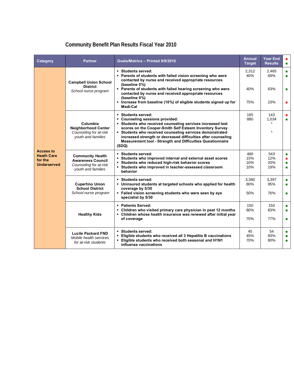### **Community Benefit Plan Results Fiscal Year 2010**

| Category                                                               | <b>Partner</b>                                                                                      | Goals/Metrics - Printed 9/8/2010                                                                                                                                                                                                                                                                                                                                                                      | <b>Annual</b><br><b>Target</b> | <b>Year End</b><br><b>Results</b> | п<br>п      |
|------------------------------------------------------------------------|-----------------------------------------------------------------------------------------------------|-------------------------------------------------------------------------------------------------------------------------------------------------------------------------------------------------------------------------------------------------------------------------------------------------------------------------------------------------------------------------------------------------------|--------------------------------|-----------------------------------|-------------|
| <b>Access to</b><br><b>Heath Care</b><br>for the<br><b>Underserved</b> | <b>Campbell Union School</b>                                                                        | ■ Students served:<br>• Parents of students with failed vision screening who were<br>contacted by nurse and received appropriate resources<br>(baseline 0%)                                                                                                                                                                                                                                           | 2.312<br>40%                   | 2.465<br>69%                      | п<br>п      |
|                                                                        | <b>District</b><br>School nurse program                                                             | • Parents of students with failed hearing screening who were<br>contacted by nurse and received appropriate resources<br>(baseline 0%)<br>. Increase from baseline (10%) of eligible students signed up for                                                                                                                                                                                           | 40%<br>75%                     | 63%<br>23%                        | п<br>п      |
|                                                                        | Columbia<br><b>Neighborhood Center</b><br>Counseling for at-risk<br>youth and families              | Medi-Cal<br>■ Students served:<br>• Counseling sessions provided:<br>• Students who received counseling services increased test<br>scores on the Cooper-Smith Self Esteem Inventory Survey<br>• Students who received counseling services demonstrated<br>increased strength or decreased difficulties after counseling<br><b>Measurement tool - Strength and Difficulties Questionnaire</b><br>(SDQ) | 165<br>880                     | 143<br>1,034<br>$\star$           | п           |
|                                                                        | <b>Community Health</b><br><b>Awareness Council</b><br>Counseling for at-risk<br>youth and families | ■ Students served:<br>Students who improved internal and external asset scores<br>• Students who reduced high-risk behavior scores<br>• Students who improved in teacher-assessed classroom<br>behavior                                                                                                                                                                                               | 480<br>15%<br>10%<br>10%       | 543<br>12%<br>20%<br>19%          | п<br>п<br>п |
|                                                                        | <b>Cupertino Union</b><br><b>School District</b><br>School nurse program                            | ■ Students served:<br>. Uninsured students at targeted schools who applied for health<br>coverage by 5/30<br>. Failed vision screening students who were seen by eye<br>specialist by 5/30                                                                                                                                                                                                            | 3,380<br>80%<br>50%            | 3,397<br>95%<br>76%               | п<br>п<br>п |
|                                                                        | <b>Healthy Kids</b>                                                                                 | • Patients Served:<br>• Children who visited primary care physician in past 12 months<br>- Children whose health insurance was renewed after initial year<br>of coverage                                                                                                                                                                                                                              | 150<br>80%<br>70%              | 150<br>83%<br>77%                 | п<br>п<br>п |
|                                                                        | <b>Lucile Packard FND</b><br>Mobile health services<br>for at-risk students                         | ■ Students served:<br>Eligible students who received all 3 Hepatitis B vaccinations<br>٠<br>- Eligible students who received both seasonal and H1N1<br>influenza vaccinations                                                                                                                                                                                                                         | 45<br>45%<br>70%               | 54<br>83%<br>80%                  | п<br>п      |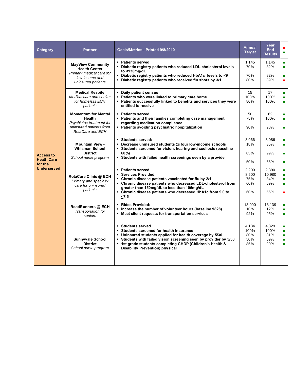| Category                                                               | <b>Partner</b>                                                                                                          | Goals/Metrics-Printed 9/8/2010                                                                                                                                                                                                                                                                       | <b>Annual</b><br><b>Target</b>      | Year<br><b>End</b><br><b>Results</b> | п                                               |
|------------------------------------------------------------------------|-------------------------------------------------------------------------------------------------------------------------|------------------------------------------------------------------------------------------------------------------------------------------------------------------------------------------------------------------------------------------------------------------------------------------------------|-------------------------------------|--------------------------------------|-------------------------------------------------|
| <b>Access to</b><br><b>Heath Care</b><br>for the<br><b>Underserved</b> | <b>MayView Community</b><br><b>Health Center</b>                                                                        | • Patients served:<br>- Diabetic registry patients who reduced LDL-cholesterol levels<br>to $<$ 130mg/dL                                                                                                                                                                                             | 1,145<br>70%                        | 1,145<br>82%                         | п<br>п                                          |
|                                                                        | Primary medical care for<br>low-income and<br>uninsured patients                                                        | - Diabetic registry patients who reduced HbA1c levels to <9<br>- Diabetic registry patients who received flu shots by 3/1                                                                                                                                                                            | 70%<br>80%                          | 82%<br>39%                           | п                                               |
|                                                                        | <b>Medical Respite</b><br>Medical care and shelter<br>for homeless ECH<br>patients                                      | • Daily patient census<br>• Patients who were linked to primary care home<br>- Patients successfully linked to benefits and services they were<br>entitled to receive                                                                                                                                | 15<br>100%<br>80%                   | 17<br>100%<br>100%                   | п<br>٠                                          |
|                                                                        | <b>Momentum for Mental</b><br><b>Health</b><br>Psychiatric treatment for<br>uninsured patients from<br>RotaCare and ECH | • Patients served:<br>• Patients and their families completing case management<br>regarding medication compliance<br>• Patients avoiding psychiatric hospitalization                                                                                                                                 | 50<br>75%<br>90%                    | 62<br>100%<br>98%                    | п<br>п<br>п                                     |
|                                                                        | <b>Mountain View -</b><br><b>Whisman School</b><br><b>District</b><br>School nurse program                              | Students served:<br>• Decrease uninsured students @ four low-income schools<br>• Students screened for vision, hearing and scoliosis (baseline<br>60%)<br>• Students with failed health screenings seen by a provider                                                                                | 3,066<br>18%<br>85%<br>50%          | 3,086<br>35%<br>99%<br>66%           | п<br>٠<br>п<br>$\blacksquare$                   |
|                                                                        | RotaCare Clinic @ ECH<br>Primary and specialty<br>care for uninsured<br>patients                                        | • Patients served:<br>• Services Provided:<br>• Chronic disease patients vaccinated for flu by 2/1<br>- Chronic disease patients who decreased LDL-cholesterol from<br>greater than 150mg/dL to less than 105mg/dL<br>• Chronic disease patients who decreased HbA1c from 9.0 to<br>< 7.5            | 2,200<br>8,500<br>75%<br>60%<br>60% | 2,390<br>10,980<br>84%<br>69%<br>56% | п<br>п<br>п<br>п<br>٠                           |
|                                                                        | RoadRunners @ ECH<br>Transportation for<br>seniors                                                                      | • Rides Provided:<br>• Increase the number of volunteer hours (baseline 9828)<br>• Meet client requests for transportation services                                                                                                                                                                  | 13.000<br>10%<br>92%                | 13.139<br>12%<br>95%                 | п<br>п<br>٠                                     |
|                                                                        | <b>Sunnyvale School</b><br><b>District</b><br>School nurse program                                                      | • Students served<br>• Students screened for health insurance<br>• Uninsured students applied for health coverage by 5/30<br>• Students with failed vision screening seen by provider by 5/30<br>• 1st grade students completing CHDP (Children's Health &<br><b>Disability Prevention) physical</b> | 4,134<br>100%<br>80%<br>50%<br>85%  | 4,329<br>100%<br>81%<br>69%<br>90%   | $\blacksquare$<br>$\blacksquare$<br>٠<br>п<br>٠ |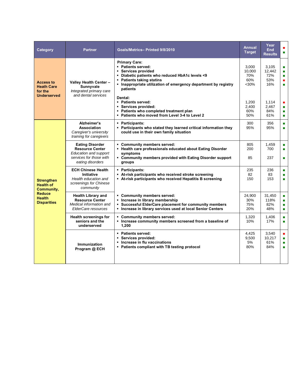| Category                                                                                                    | <b>Partner</b>                                                                                                                  | Goals/Metrics-Printed 9/8/2010                                                                                                                                                                                                 | <b>Annual</b><br><b>Target</b>         | Year<br><b>End</b><br><b>Results</b> | п<br>$\blacksquare$                        |
|-------------------------------------------------------------------------------------------------------------|---------------------------------------------------------------------------------------------------------------------------------|--------------------------------------------------------------------------------------------------------------------------------------------------------------------------------------------------------------------------------|----------------------------------------|--------------------------------------|--------------------------------------------|
| <b>Access to</b><br><b>Heath Care</b><br>for the<br><b>Underserved</b>                                      | Valley Health Center -<br>Sunnyvale<br>Integrated primary care                                                                  | <b>Primary Care:</b><br>- Patients served:<br>Services provided<br>• Diabetic patients who reduced HbA1c levels <9<br>• Patients taking statins<br>. Inappropriate utilization of emergency department by registry<br>patients | 3,000<br>10,000<br>70%<br>60%<br>$30%$ | 3,105<br>12,442<br>72%<br>53%<br>16% | $\blacksquare$<br>٠<br>٠<br>٠<br>٠         |
|                                                                                                             | and dental services                                                                                                             | Dental:<br>• Patients served:<br>Services provided:<br>- Patients who completed treatment plan<br>- Patients who moved from Level 3-4 to Level 2                                                                               | 1,200<br>2,400<br>60%<br>50%           | 1,114<br>2,467<br>84%<br>61%         | п<br>п<br>п<br>$\blacksquare$              |
| <b>Strengthen</b><br><b>Health of</b><br>Community,<br><b>Reduce</b><br><b>Health</b><br><b>Disparities</b> | Alzheimer's<br>Association<br>Caregiver's university<br>training for caregivers                                                 | • Participants:<br>• Participants who stated they learned critical information they<br>could use in their own family situation                                                                                                 | 300<br>95%                             | 356<br>95%                           | $\blacksquare$<br>٠                        |
|                                                                                                             | <b>Eating Disorder</b><br><b>Resource Center</b><br><b>Education and support</b><br>services for those with<br>eating disorders | Community members served:<br>• Health care professionals educated about Eating Disorder<br>symptoms<br>• Community members provided with Eating Disorder support<br>groups                                                     | 805<br>200<br>85                       | 1,459<br>700<br>237                  | ٠<br>٠<br>٠                                |
|                                                                                                             | <b>ECH Chinese Health</b><br><b>Initiative</b><br>Health education and<br>screenings for Chinese<br>community                   | • Participants:<br>At-risk participants who received stroke screening<br>- At-risk participants who received Hepatitis B screening                                                                                             | 235<br>82<br>150                       | 236<br>83<br>153                     | $\blacksquare$<br>п<br>٠                   |
|                                                                                                             | <b>Health Library and</b><br><b>Resource Center</b><br>Medical information and<br><b>ElderCare resources</b>                    | Community members served:<br>• Increase in library membership<br>• Successful ElderCare placement for community members<br>- Increase in library services used at local Senior Centers                                         | 24,900<br>30%<br>75%<br>20%            | 31,450<br>118%<br>82%<br>48%         | $\blacksquare$<br>٠<br>п<br>$\blacksquare$ |
|                                                                                                             | <b>Health screenings for</b><br>seniors and the<br>underserved                                                                  | Community members served:<br>• Increase community members screened from a baseline of<br>1,200                                                                                                                                 | 1,320<br>10%                           | 1,406<br>17%                         | $\blacksquare$<br>п                        |
|                                                                                                             | <b>Immunization</b><br>Program @ ECH                                                                                            | • Patients served:<br>Services provided:<br>Increase in flu vaccinations<br>• Patients compliant with TB testing protocol                                                                                                      | 4,425<br>9,500<br>5%<br>80%            | 3,540<br>10,217<br>61%<br>84%        | $\blacksquare$<br>$\blacksquare$<br>٠<br>٠ |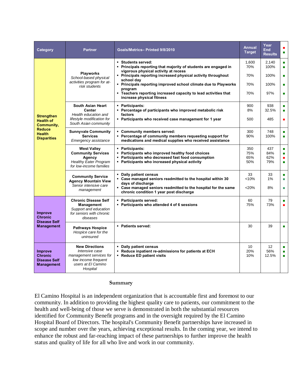| Category                                                                     | <b>Partner</b>                                                                                                              | Goals/Metrics-Printed 9/8/2010                                                                                                                                                                                          | Annual<br><b>Target</b>  | Year<br>End<br><b>Results</b>   | г<br>п                                |
|------------------------------------------------------------------------------|-----------------------------------------------------------------------------------------------------------------------------|-------------------------------------------------------------------------------------------------------------------------------------------------------------------------------------------------------------------------|--------------------------|---------------------------------|---------------------------------------|
|                                                                              |                                                                                                                             | ■ Students served:<br>• Principals reporting that majority of students are engaged in<br>vigorous physical activity at recess                                                                                           | 1,600<br>70%             | 2,140<br>100%                   | п<br>п                                |
|                                                                              | <b>Playworks</b><br>School-based physical                                                                                   | • Principals reporting increased physical activity throughout<br>school day                                                                                                                                             | 70%                      | 100%                            | п                                     |
|                                                                              | activities program for at-<br>risk students                                                                                 | • Principals reporting improved school climate due to Playworks<br>program                                                                                                                                              | 70%                      | 100%                            | п                                     |
|                                                                              |                                                                                                                             | Teachers reporting increased capacity to lead activities that<br>increase physical fitness                                                                                                                              | 70%                      | 97%                             | п                                     |
|                                                                              | South Asian Heart<br><b>Center</b>                                                                                          | • Participants:<br>• Percentage of participants who improved metabolic risk                                                                                                                                             | 900<br>8%                | 938<br>32.5%                    | п<br>п                                |
| <b>Strengthen</b><br><b>Health of</b><br>Community,                          | Health education and<br>lifestyle modification for<br>South Asian community                                                 | factors<br>• Participants who received case management for 1 year                                                                                                                                                       | 500                      | 485                             | ٠                                     |
| <b>Reduce</b><br><b>Health</b><br><b>Disparities</b>                         | <b>Sunnyvale Community</b><br><b>Services</b><br>Emergency assistance                                                       | • Community members served:<br>• Percentage of community members requesting support for<br>medications and medical supplies who received assistance                                                                     | 300<br>90%               | 748<br>100%                     | п<br>п                                |
|                                                                              | <b>West Valley</b><br><b>Community Services</b><br>Agency<br><b>Healthy Eater Program</b><br>for low-income families        | • Participants:<br>• Participants who improved healthy food choices<br>• Participants who decreased fast food consumption<br>• Participants who increased physical activity                                             | 350<br>75%<br>65%<br>50% | 437<br>84%<br>62%<br>79%        | п<br>п<br>٠<br>٠                      |
|                                                                              | <b>Community Service</b><br><b>Agency Mountain View</b><br>Senior intensive care<br>management                              | • Daily patient census<br>• Case managed seniors readmitted to the hospital within 30<br>days of discharge<br>" Case managed seniors readmitted to the hospital for the same<br>chronic condition 1 year post discharge | 33<br>< 10%<br>< 20%     | 33<br>1%<br>8%                  | $\blacksquare$<br>п<br>п              |
| <b>Improve</b><br><b>Chronic</b><br><b>Disease Self</b>                      | <b>Chronic Disease Self</b><br>Management<br>Support and education<br>for seniors with chronic<br>diseases                  | • Participants served:<br>• Participants who attended 4 of 6 sessions                                                                                                                                                   | 60<br>75%                | 79<br>73%                       | $\blacksquare$<br>п                   |
| <b>Management</b>                                                            | <b>Pathways Hospice</b><br>Hospice care for the<br>uninsured                                                                | • Patients served:                                                                                                                                                                                                      | 30                       | 39                              | п                                     |
| <b>Improve</b><br><b>Chronic</b><br><b>Disease Self</b><br><b>Management</b> | <b>New Directions</b><br>Intensive case<br>management services for<br>low income frequent<br>users at El Camino<br>Hospital | • Daily patient census<br>- Reduce inpatient re-admissions for patients at ECH<br>- Reduce ED patient visits                                                                                                            | 10<br>20%<br>10%         | 12 <sup>2</sup><br>56%<br>12.5% | п<br>$\blacksquare$<br>$\blacksquare$ |

#### **Summary**

El Camino Hospital is an independent organization that is accountable first and foremost to our community. In addition to providing the highest quality care to patients, our commitment to the health and well-being of those we serve is demonstrated in both the substantial resources identified for Community Benefit programs and in the oversight required by the El Camino Hospital Board of Directors. The hospital's Community Benefit partnerships have increased in scope and number over the years, achieving exceptional results. In the coming year, we intend to enhance the robust and far-reaching impact of these partnerships to further improve the health status and quality of life for all who live and work in our community.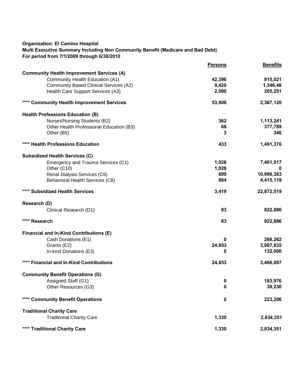#### **Organization: El Camino Hospital**

#### **Multi Executive Summary Including Non Community Benefit (Medicare and Bad Debt) For period from 7/1/2009 through 6/30/2010**

|                                                  | <b>Persons</b> | <b>Benefits</b> |
|--------------------------------------------------|----------------|-----------------|
| <b>Community Health Improvement Services (A)</b> |                |                 |
| Community Health Education (A1)                  | 42,396         | 815,021         |
| <b>Community Based Clinical Services (A2)</b>    | 9,420          | 1,346,48        |
| Health Care Support Services (A3)                | 2,090          | 205,251         |
| **** Community Health Improvement Services       | 53,906         | 2,367,120       |
| <b>Health Professions Education (B)</b>          |                |                 |
| Nurses/Nursing Students (B2)                     | 362            | 1,113,241       |
| Other Health Professional Education (B3)         | 68             | 377,789         |
| Other (B5)                                       | 3              | 346             |
| **** Health Professions Education                | 433            | 1,491,376       |
| <b>Subsidized Health Services (C)</b>            |                |                 |
| Emergency and Trauma Services (C1)               | 1,028          | 7,461,017       |
| Other (C10)                                      | 1,028          |                 |
| Renal Dialysis Services (C6)                     | 699            | 10,996,383      |
| Behavioral Health Services (C8)                  | 664            | 4,415,119       |
| **** Subsidized Health Services                  | 3,419          | 22,872,519      |
| Research (D)                                     |                |                 |
| Clinical Research (D1)                           | 83             | 822,886         |
| **** Research                                    | 83             | 822,886         |
|                                                  |                |                 |
| Financial and In-Kind Contributions (E)          |                |                 |
| Cash Donations (E1)                              | 0              | 266,262         |
| Grants (E2)                                      | 24,853         | 3,067,835       |
| In-kind Donations (E3)                           | 0              | 132,000         |
| **** Financial and In-Kind Contributions         | 24,853         | 3,466,097       |
| <b>Community Benefit Operations (G)</b>          |                |                 |
| Assigned Staff (G1)                              | 0              | 183,976         |
| Other Resources (G3)                             | 0              | 39,230          |
| **** Community Benefit Operations                | 0              | 223,206         |
| <b>Traditional Charity Care</b>                  |                |                 |
| <b>Traditional Charity Care</b>                  | 1,330          | 2,834,351       |
| **** Traditional Charity Care                    | 1,330          | 2,834,351       |